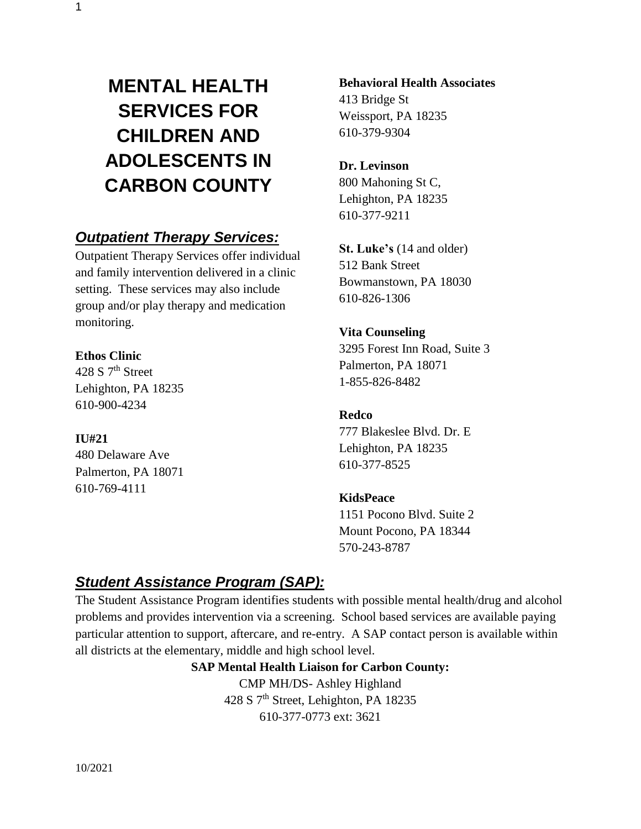# **MENTAL HEALTH SERVICES FOR CHILDREN AND ADOLESCENTS IN CARBON COUNTY**

## *Outpatient Therapy Services:*

Outpatient Therapy Services offer individual and family intervention delivered in a clinic setting. These services may also include group and/or play therapy and medication monitoring.

#### **Ethos Clinic**

428 S  $7<sup>th</sup>$  Street Lehighton, PA 18235 610-900-4234

#### **IU#21**

480 Delaware Ave Palmerton, PA 18071 610-769-4111

### **Behavioral Health Associates**

413 Bridge St Weissport, PA 18235 610-379-9304

#### **Dr. Levinson**

800 Mahoning St C, Lehighton, PA 18235 610-377-9211

**St. Luke's** (14 and older) 512 Bank Street Bowmanstown, PA 18030 610-826-1306

### **Vita Counseling**

3295 Forest Inn Road, Suite 3 Palmerton, PA 18071 1-855-826-8482

#### **Redco**

777 Blakeslee Blvd. Dr. E Lehighton, PA 18235 610-377-8525

### **KidsPeace**

1151 Pocono Blvd. Suite 2 Mount Pocono, PA 18344 570-243-8787

# *Student Assistance Program (SAP):*

The Student Assistance Program identifies students with possible mental health/drug and alcohol problems and provides intervention via a screening. School based services are available paying particular attention to support, aftercare, and re-entry. A SAP contact person is available within all districts at the elementary, middle and high school level.

#### **SAP Mental Health Liaison for Carbon County:**

CMP MH/DS- Ashley Highland 428 S 7th Street, Lehighton, PA 18235 610-377-0773 ext: 3621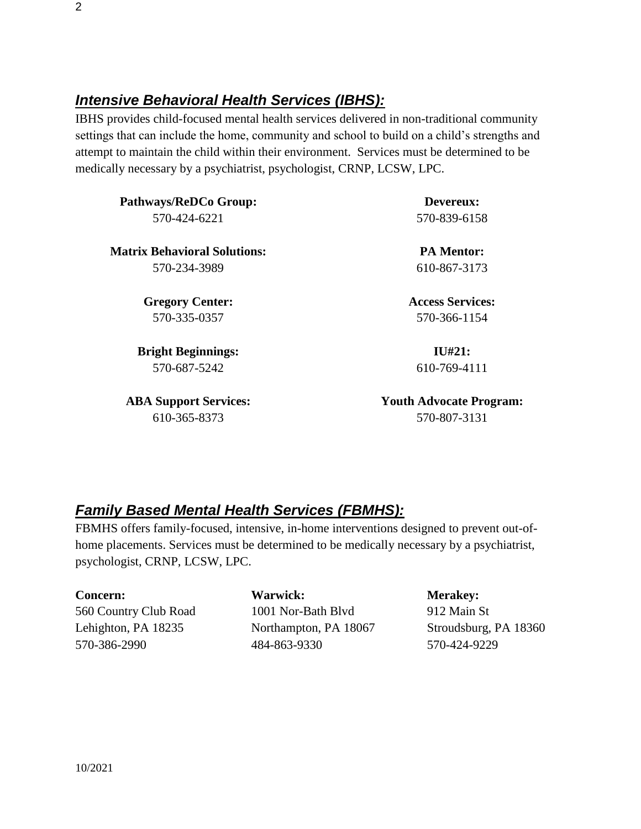### *Intensive Behavioral Health Services (IBHS):*

IBHS provides child-focused mental health services delivered in non-traditional community settings that can include the home, community and school to build on a child's strengths and attempt to maintain the child within their environment. Services must be determined to be medically necessary by a psychiatrist, psychologist, CRNP, LCSW, LPC.

**Pathways/ReDCo Group:** 570-424-6221 **Matrix Behavioral Solutions:** 570-234-3989 **Gregory Center:** 570-335-0357 **Bright Beginnings: Devereux:** 570-839-6158 **PA Mentor:** 610-867-3173 **Access Services:** 570-366-1154 **IU#21:**

570-687-5242

**ABA Support Services:** 610-365-8373

610-769-4111

**Youth Advocate Program:** 570-807-3131

### *Family Based Mental Health Services (FBMHS):*

FBMHS offers family-focused, intensive, in-home interventions designed to prevent out-ofhome placements. Services must be determined to be medically necessary by a psychiatrist, psychologist, CRNP, LCSW, LPC.

| <b>Concern:</b>       |
|-----------------------|
| 560 Country Club Road |
| Lehighton, PA 18235   |
| 570-386-2990          |

#### **Warwick:**  1001 Nor-Bath Blvd Northampton, PA 18067 484-863-9330

#### **Merakey:**

912 Main St Stroudsburg, PA 18360 570-424-9229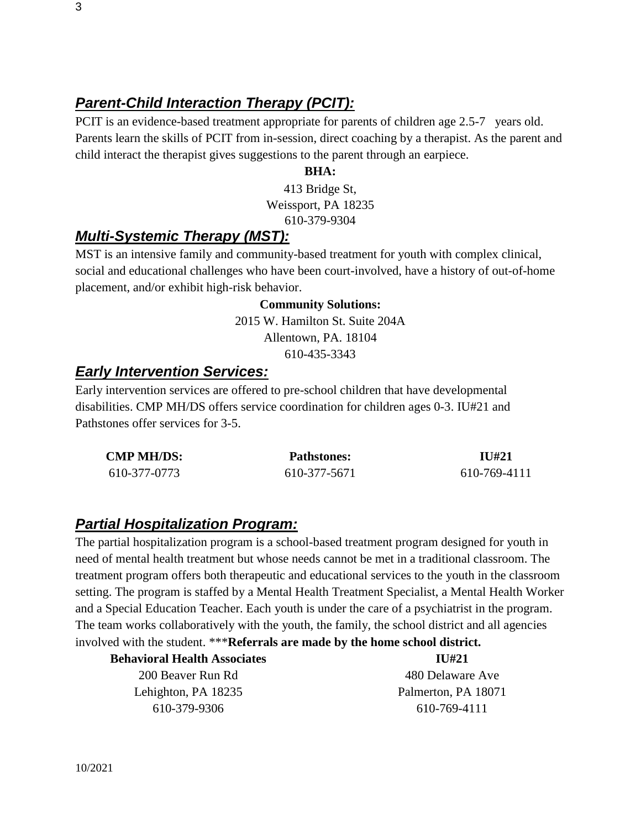### *Parent-Child Interaction Therapy (PCIT):*

PCIT is an evidence-based treatment appropriate for parents of children age 2.5-7 years old. Parents learn the skills of PCIT from in-session, direct coaching by a therapist. As the parent and child interact the therapist gives suggestions to the parent through an earpiece.

#### **BHA:**

413 Bridge St, Weissport, PA 18235 610-379-9304

### *Multi-Systemic Therapy (MST):*

MST is an intensive family and community-based treatment for youth with complex clinical, social and educational challenges who have been court-involved, have a history of out-of-home placement, and/or exhibit high-risk behavior.

#### **Community Solutions:**

2015 W. Hamilton St. Suite 204A Allentown, PA. 18104 610-435-3343

#### *Early Intervention Services:*

Early intervention services are offered to pre-school children that have developmental disabilities. CMP MH/DS offers service coordination for children ages 0-3. IU#21 and Pathstones offer services for 3-5.

| <b>CMP MH/DS:</b> | <b>Pathstones:</b> | <b>IU#21</b> |
|-------------------|--------------------|--------------|
| 610-377-0773      | 610-377-5671       | 610-769-4111 |

#### *Partial Hospitalization Program:*

The partial hospitalization program is a school-based treatment program designed for youth in need of mental health treatment but whose needs cannot be met in a traditional classroom. The treatment program offers both therapeutic and educational services to the youth in the classroom setting. The program is staffed by a Mental Health Treatment Specialist, a Mental Health Worker and a Special Education Teacher. Each youth is under the care of a psychiatrist in the program. The team works collaboratively with the youth, the family, the school district and all agencies involved with the student. \*\*\***Referrals are made by the home school district.**

| $\overline{111}$ #21 |
|----------------------|
| 480 Delaware Ave     |
| Palmerton, PA 18071  |
| 610-769-4111         |
|                      |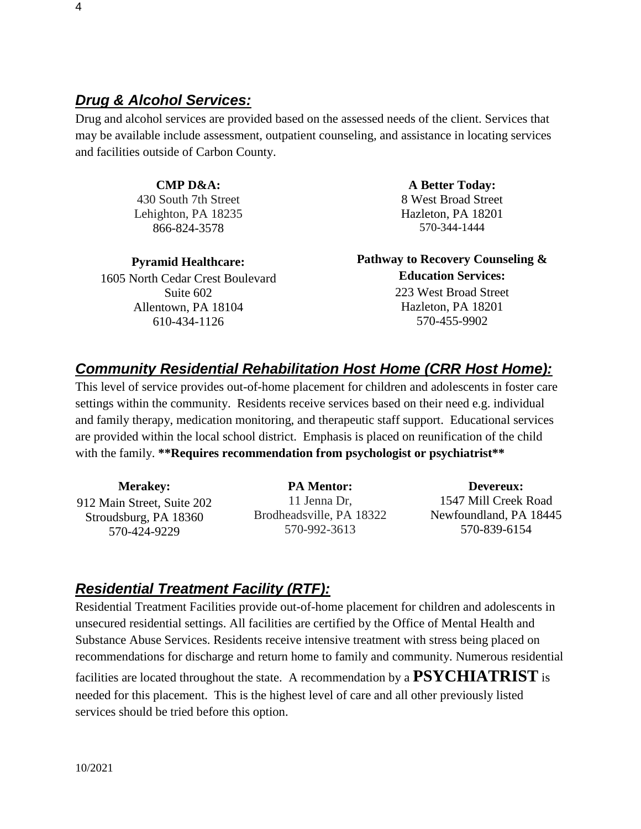### *Drug & Alcohol Services:*

Drug and alcohol services are provided based on the assessed needs of the client. Services that may be available include assessment, outpatient counseling, and assistance in locating services and facilities outside of Carbon County.

#### **CMP D&A:**

430 South 7th Street Lehighton, PA 18235 [866-824-3578](tel:866-824-3578) 

**Pyramid Healthcare:**

1605 North Cedar Crest Boulevard Suite 602 Allentown, PA 18104 [610-434-1126](tel:610-434-1126) 

**A Better Today:** 8 West Broad Street Hazleton, PA 18201 [570-344-1444](tel:570-344-1444) 

**Pathway to Recovery Counseling & Education Services:** 223 West Broad Street Hazleton, PA 18201 [570-455-9902](tel:570-455-9902) 

### *Community Residential Rehabilitation Host Home (CRR Host Home):*

This level of service provides out-of-home placement for children and adolescents in foster care settings within the community. Residents receive services based on their need e.g. individual and family therapy, medication monitoring, and therapeutic staff support. Educational services are provided within the local school district. Emphasis is placed on reunification of the child with the family. **\*\*Requires recommendation from psychologist or psychiatrist\*\*** 

**Merakey:** 912 Main Street, Suite 202 Stroudsburg, PA 18360 570-424-9229

**PA Mentor:** 11 Jenna Dr, Brodheadsville, PA 18322 570-992-3613

**Devereux:** 1547 Mill Creek Road Newfoundland, PA 18445 [570-839-6154](tel:570-839-6154) 

### *Residential Treatment Facility (RTF):*

Residential Treatment Facilities provide out-of-home placement for children and adolescents in unsecured residential settings. All facilities are certified by the Office of Mental Health and Substance Abuse Services. Residents receive intensive treatment with stress being placed on recommendations for discharge and return home to family and community. Numerous residential facilities are located throughout the state. A recommendation by a **PSYCHIATRIST** is needed for this placement. This is the highest level of care and all other previously listed services should be tried before this option.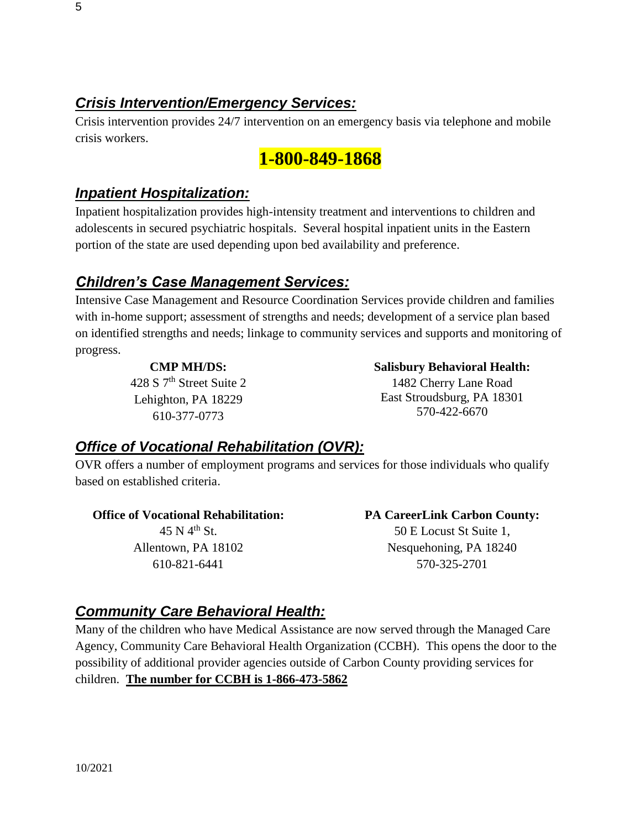### *Crisis Intervention/Emergency Services:*

Crisis intervention provides 24/7 intervention on an emergency basis via telephone and mobile crisis workers.

# **1-800-849-1868**

### *Inpatient Hospitalization:*

Inpatient hospitalization provides high-intensity treatment and interventions to children and adolescents in secured psychiatric hospitals. Several hospital inpatient units in the Eastern portion of the state are used depending upon bed availability and preference.

### *Children's Case Management Services:*

Intensive Case Management and Resource Coordination Services provide children and families with in-home support; assessment of strengths and needs; development of a service plan based on identified strengths and needs; linkage to community services and supports and monitoring of progress.

#### **CMP MH/DS:**

428 S 7<sup>th</sup> Street Suite 2 Lehighton, PA 18229 610-377-0773

### **Salisbury Behavioral Health:**

1482 Cherry Lane Road East Stroudsburg, PA 18301 [570-422-6670](tel:570-422-6670) 

### *Office of Vocational Rehabilitation (OVR):*

OVR offers a number of employment programs and services for those individuals who qualify based on established criteria.

### **Office of Vocational Rehabilitation:**

 $45$  N  $4^{\text{th}}$  St. Allentown, PA 18102 610-821-6441

**PA CareerLink Carbon County:** 50 E Locust St Suite 1, Nesquehoning, PA 18240 570-325-2701

### *Community Care Behavioral Health:*

Many of the children who have Medical Assistance are now served through the Managed Care Agency, Community Care Behavioral Health Organization (CCBH). This opens the door to the possibility of additional provider agencies outside of Carbon County providing services for children. **The number for CCBH is 1-866-473-5862**